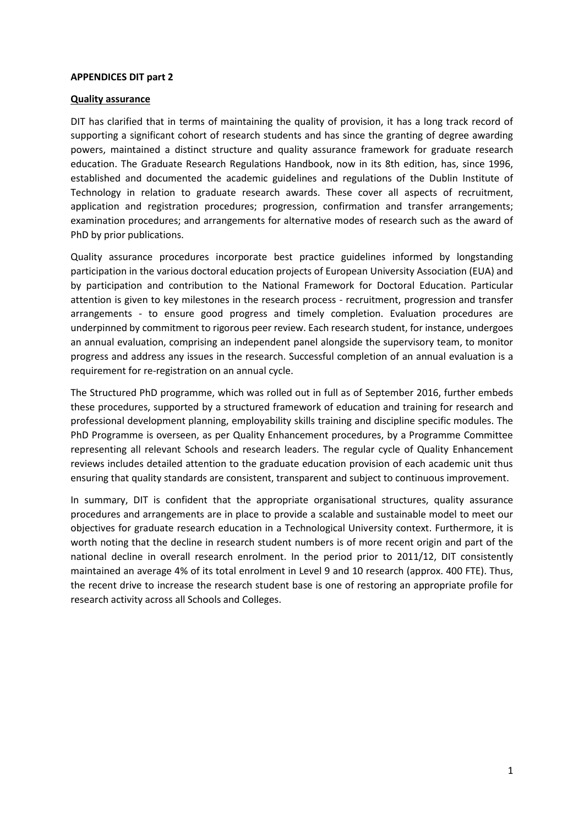## **APPENDICES DIT part 2**

## **Quality assurance**

DIT has clarified that in terms of maintaining the quality of provision, it has a long track record of supporting a significant cohort of research students and has since the granting of degree awarding powers, maintained a distinct structure and quality assurance framework for graduate research education. The Graduate Research Regulations Handbook, now in its 8th edition, has, since 1996, established and documented the academic guidelines and regulations of the Dublin Institute of Technology in relation to graduate research awards. These cover all aspects of recruitment, application and registration procedures; progression, confirmation and transfer arrangements; examination procedures; and arrangements for alternative modes of research such as the award of PhD by prior publications.

Quality assurance procedures incorporate best practice guidelines informed by longstanding participation in the various doctoral education projects of European University Association (EUA) and by participation and contribution to the National Framework for Doctoral Education. Particular attention is given to key milestones in the research process - recruitment, progression and transfer arrangements - to ensure good progress and timely completion. Evaluation procedures are underpinned by commitment to rigorous peer review. Each research student, for instance, undergoes an annual evaluation, comprising an independent panel alongside the supervisory team, to monitor progress and address any issues in the research. Successful completion of an annual evaluation is a requirement for re-registration on an annual cycle.

The Structured PhD programme, which was rolled out in full as of September 2016, further embeds these procedures, supported by a structured framework of education and training for research and professional development planning, employability skills training and discipline specific modules. The PhD Programme is overseen, as per Quality Enhancement procedures, by a Programme Committee representing all relevant Schools and research leaders. The regular cycle of Quality Enhancement reviews includes detailed attention to the graduate education provision of each academic unit thus ensuring that quality standards are consistent, transparent and subject to continuous improvement.

In summary, DIT is confident that the appropriate organisational structures, quality assurance procedures and arrangements are in place to provide a scalable and sustainable model to meet our objectives for graduate research education in a Technological University context. Furthermore, it is worth noting that the decline in research student numbers is of more recent origin and part of the national decline in overall research enrolment. In the period prior to 2011/12, DIT consistently maintained an average 4% of its total enrolment in Level 9 and 10 research (approx. 400 FTE). Thus, the recent drive to increase the research student base is one of restoring an appropriate profile for research activity across all Schools and Colleges.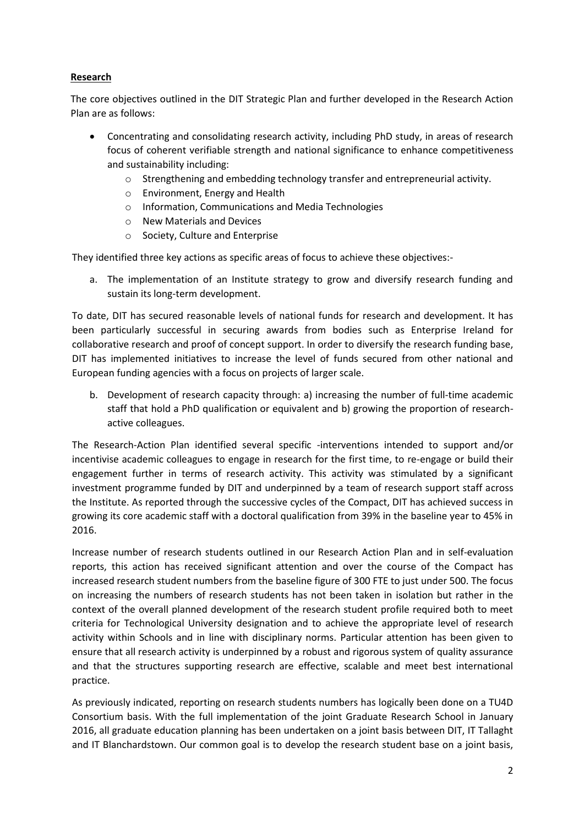## **Research**

The core objectives outlined in the DIT Strategic Plan and further developed in the Research Action Plan are as follows:

- Concentrating and consolidating research activity, including PhD study, in areas of research focus of coherent verifiable strength and national significance to enhance competitiveness and sustainability including:
	- o Strengthening and embedding technology transfer and entrepreneurial activity.
	- o Environment, Energy and Health
	- o Information, Communications and Media Technologies
	- o New Materials and Devices
	- o Society, Culture and Enterprise

They identified three key actions as specific areas of focus to achieve these objectives:-

a. The implementation of an Institute strategy to grow and diversify research funding and sustain its long-term development.

To date, DIT has secured reasonable levels of national funds for research and development. It has been particularly successful in securing awards from bodies such as Enterprise Ireland for collaborative research and proof of concept support. In order to diversify the research funding base, DIT has implemented initiatives to increase the level of funds secured from other national and European funding agencies with a focus on projects of larger scale.

b. Development of research capacity through: a) increasing the number of full-time academic staff that hold a PhD qualification or equivalent and b) growing the proportion of researchactive colleagues.

The Research-Action Plan identified several specific -interventions intended to support and/or incentivise academic colleagues to engage in research for the first time, to re-engage or build their engagement further in terms of research activity. This activity was stimulated by a significant investment programme funded by DIT and underpinned by a team of research support staff across the Institute. As reported through the successive cycles of the Compact, DIT has achieved success in growing its core academic staff with a doctoral qualification from 39% in the baseline year to 45% in 2016.

Increase number of research students outlined in our Research Action Plan and in self-evaluation reports, this action has received significant attention and over the course of the Compact has increased research student numbers from the baseline figure of 300 FTE to just under 500. The focus on increasing the numbers of research students has not been taken in isolation but rather in the context of the overall planned development of the research student profile required both to meet criteria for Technological University designation and to achieve the appropriate level of research activity within Schools and in line with disciplinary norms. Particular attention has been given to ensure that all research activity is underpinned by a robust and rigorous system of quality assurance and that the structures supporting research are effective, scalable and meet best international practice.

As previously indicated, reporting on research students numbers has logically been done on a TU4D Consortium basis. With the full implementation of the joint Graduate Research School in January 2016, all graduate education planning has been undertaken on a joint basis between DIT, IT Tallaght and IT Blanchardstown. Our common goal is to develop the research student base on a joint basis,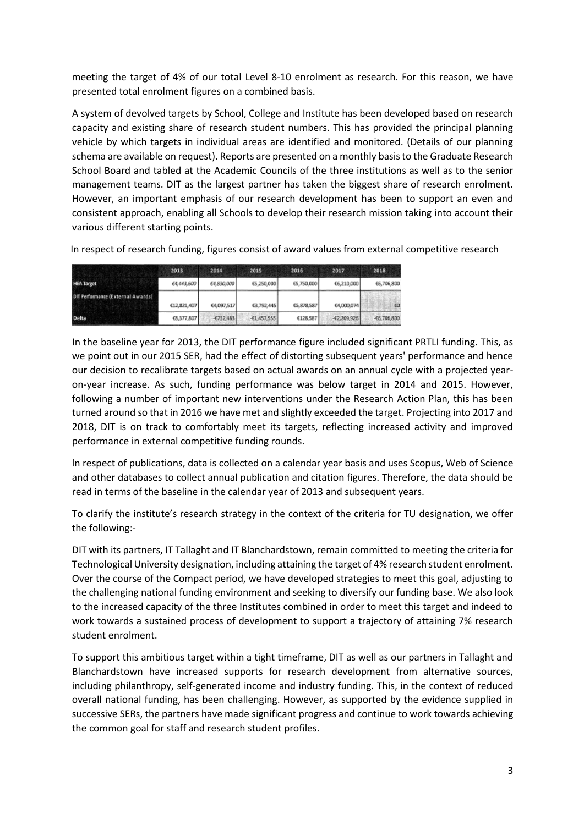meeting the target of 4% of our total Level 8-10 enrolment as research. For this reason, we have presented total enrolment figures on a combined basis.

A system of devolved targets by School, College and Institute has been developed based on research capacity and existing share of research student numbers. This has provided the principal planning vehicle by which targets in individual areas are identified and monitored. (Details of our planning schema are available on request). Reports are presented on a monthly basis to the Graduate Research School Board and tabled at the Academic Councils of the three institutions as well as to the senior management teams. DIT as the largest partner has taken the biggest share of research enrolment. However, an important emphasis of our research development has been to support an even and consistent approach, enabling all Schools to develop their research mission taking into account their various different starting points.

In respect of research funding, figures consist of award values from external competitive research

|                                   | 2013        | 2014        | 2015          | 2016       | 2017          | 2018          |
|-----------------------------------|-------------|-------------|---------------|------------|---------------|---------------|
| <b>HEA Target</b>                 | 64,443,600  | 64,830,000  | £5,250,000    | £5,750,000 | €6,210,000    | €6,706,800    |
| DIT Performance (External Awards) | C12,821,407 | £4,097,517  | C3,792,445    | C5,878.587 | £4,000,074    | $\omega$      |
| <b>Delta</b>                      | 68,377,807  | $-6732.483$ | $-61,457,555$ | €128,587   | $-62,209,926$ | $-65,706,800$ |

In the baseline year for 2013, the DIT performance figure included significant PRTLI funding. This, as we point out in our 2015 SER, had the effect of distorting subsequent years' performance and hence our decision to recalibrate targets based on actual awards on an annual cycle with a projected yearon-year increase. As such, funding performance was below target in 2014 and 2015. However, following a number of important new interventions under the Research Action Plan, this has been turned around so that in 2016 we have met and slightly exceeded the target. Projecting into 2017 and 2018, DIT is on track to comfortably meet its targets, reflecting increased activity and improved performance in external competitive funding rounds.

ln respect of publications, data is collected on a calendar year basis and uses Scopus, Web of Science and other databases to collect annual publication and citation figures. Therefore, the data should be read in terms of the baseline in the calendar year of 2013 and subsequent years.

To clarify the institute's research strategy in the context of the criteria for TU designation, we offer the following:-

DIT with its partners, IT Tallaght and IT Blanchardstown, remain committed to meeting the criteria for Technological University designation, including attaining the target of 4% research student enrolment. Over the course of the Compact period, we have developed strategies to meet this goal, adjusting to the challenging national funding environment and seeking to diversify our funding base. We also look to the increased capacity of the three Institutes combined in order to meet this target and indeed to work towards a sustained process of development to support a trajectory of attaining 7% research student enrolment.

To support this ambitious target within a tight timeframe, DIT as well as our partners in Tallaght and Blanchardstown have increased supports for research development from alternative sources, including philanthropy, self-generated income and industry funding. This, in the context of reduced overall national funding, has been challenging. However, as supported by the evidence supplied in successive SERs, the partners have made significant progress and continue to work towards achieving the common goal for staff and research student profiles.